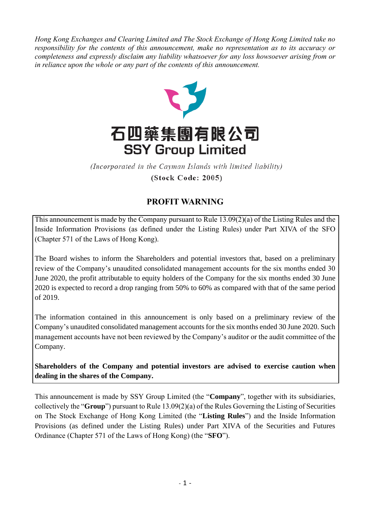*Hong Kong Exchanges and Clearing Limited and The Stock Exchange of Hong Kong Limited take no responsibility for the contents of this announcement, make no representation as to its accuracy or completeness and expressly disclaim any liability whatsoever for any loss howsoever arising from or in reliance upon the whole or any part of the contents of this announcement.*



(Incorporated in the Cayman Islands with limited liability) (Stock Code: 2005)

## **PROFIT WARNING**

This announcement is made by the Company pursuant to Rule 13.09(2)(a) of the Listing Rules and the Inside Information Provisions (as defined under the Listing Rules) under Part XIVA of the SFO (Chapter 571 of the Laws of Hong Kong).

The Board wishes to inform the Shareholders and potential investors that, based on a preliminary review of the Company's unaudited consolidated management accounts for the six months ended 30 June 2020, the profit attributable to equity holders of the Company for the six months ended 30 June 2020 is expected to record a drop ranging from 50% to 60% as compared with that of the same period of 2019.

The information contained in this announcement is only based on a preliminary review of the Company's unaudited consolidated management accounts for the six months ended 30 June 2020. Such management accounts have not been reviewed by the Company's auditor or the audit committee of the Company.

**Shareholders of the Company and potential investors are advised to exercise caution when dealing in the shares of the Company.**

This announcement is made by SSY Group Limited (the "**Company**", together with its subsidiaries, collectively the "**Group**") pursuant to Rule 13.09(2)(a) of the Rules Governing the Listing of Securities on The Stock Exchange of Hong Kong Limited (the "**Listing Rules**") and the Inside Information Provisions (as defined under the Listing Rules) under Part XIVA of the Securities and Futures Ordinance (Chapter 571 of the Laws of Hong Kong) (the "**SFO**").